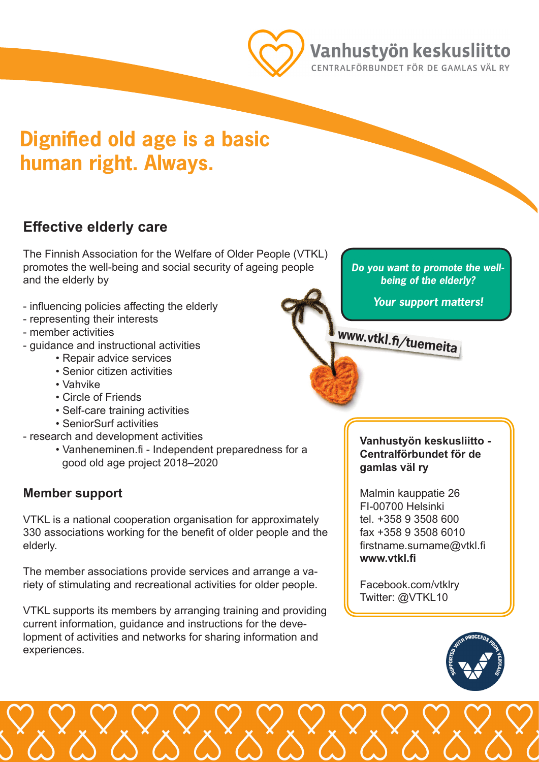

### Vanhustyön keskusliitto

CENTRALFÖRBUNDET FÖR DE GAMLAS VÄL RY

# **Dignified old age is a basic human right. Always.**

### **Effective elderly care**

The Finnish Association for the Welfare of Older People (VTKL) promotes the well-being and social security of ageing people and the elderly by

- influencing policies affecting the elderly
- representing their interests
- member activities
- guidance and instructional activities
	- Repair advice services
	- Senior citizen activities
	- Vahvike
	- Circle of Friends
	- Self-care training activities
	- SeniorSurf activities
- research and development activities
	- Vanheneminen.fi Independent preparedness for a good old age project 2018–2020

#### **Member support**

VTKL is a national cooperation organisation for approximately 330 associations working for the benefit of older people and the elderly.

The member associations provide services and arrange a variety of stimulating and recreational activities for older people.

VTKL supports its members by arranging training and providing current information, guidance and instructions for the development of activities and networks for sharing information and experiences.

*Do you want to promote the wellbeing of the elderly?* 

*Your support matters!*

**www.vtkl.fi/tuemeita**

**Vanhustyön keskusliitto - Centralförbundet för de gamlas väl ry**

Malmin kauppatie 26 FI-00700 Helsinki tel. +358 9 3508 600 fax +358 9 3508 6010 firstname.surname@vtkl.fi **www.vtkl.fi**

Facebook.com/vtklry Twitter: @VTKL10